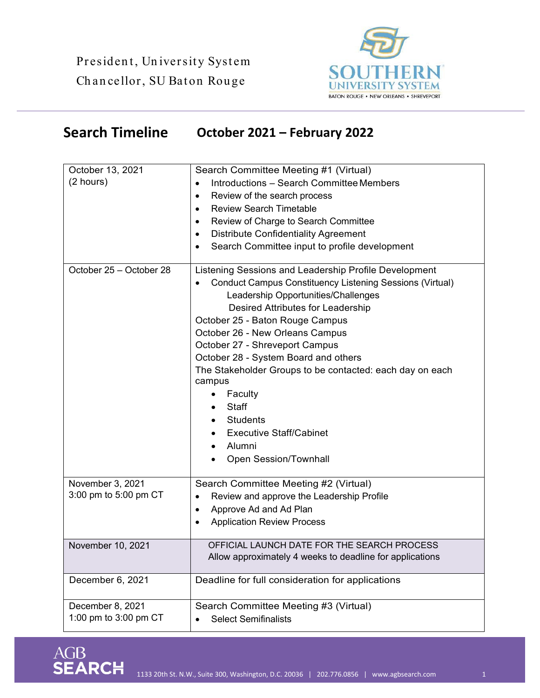President, University System Chancellor, SU Baton Rouge

AGB

**SEARCH** 



## **Search Timeline October 2021 – February 2022**

| October 13, 2021        | Search Committee Meeting #1 (Virtual)                           |
|-------------------------|-----------------------------------------------------------------|
| (2 hours)               | Introductions - Search Committee Members                        |
|                         | Review of the search process<br>$\bullet$                       |
|                         | <b>Review Search Timetable</b><br>$\bullet$                     |
|                         | Review of Charge to Search Committee                            |
|                         | <b>Distribute Confidentiality Agreement</b><br>$\bullet$        |
|                         | Search Committee input to profile development                   |
| October 25 - October 28 | Listening Sessions and Leadership Profile Development           |
|                         | <b>Conduct Campus Constituency Listening Sessions (Virtual)</b> |
|                         | Leadership Opportunities/Challenges                             |
|                         | Desired Attributes for Leadership                               |
|                         | October 25 - Baton Rouge Campus                                 |
|                         | October 26 - New Orleans Campus                                 |
|                         | October 27 - Shreveport Campus                                  |
|                         | October 28 - System Board and others                            |
|                         | The Stakeholder Groups to be contacted: each day on each        |
|                         | campus                                                          |
|                         | Faculty<br>$\bullet$                                            |
|                         | <b>Staff</b>                                                    |
|                         | <b>Students</b>                                                 |
|                         | <b>Executive Staff/Cabinet</b>                                  |
|                         | Alumni<br>$\bullet$                                             |
|                         | Open Session/Townhall                                           |
| November 3, 2021        | Search Committee Meeting #2 (Virtual)                           |
| 3:00 pm to 5:00 pm CT   | Review and approve the Leadership Profile                       |
|                         | Approve Ad and Ad Plan<br>$\bullet$                             |
|                         | <b>Application Review Process</b>                               |
|                         |                                                                 |
| November 10, 2021       | OFFICIAL LAUNCH DATE FOR THE SEARCH PROCESS                     |
|                         | Allow approximately 4 weeks to deadline for applications        |
| December 6, 2021        | Deadline for full consideration for applications                |
| December 8, 2021        | Search Committee Meeting #3 (Virtual)                           |
| 1:00 pm to 3:00 pm CT   | <b>Select Semifinalists</b>                                     |